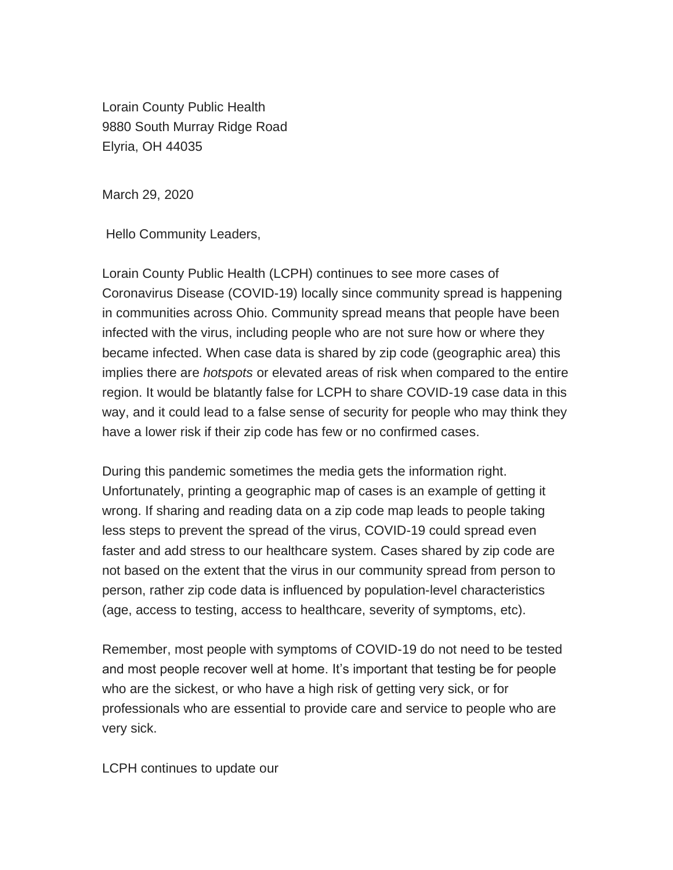Lorain County Public Health 9880 South Murray Ridge Road Elyria, OH 44035

March 29, 2020

Hello Community Leaders,

Lorain County Public Health (LCPH) continues to see more cases of Coronavirus Disease (COVID-19) locally since community spread is happening in communities across Ohio. Community spread means that people have been infected with the virus, including people who are not sure how or where they became infected. When case data is shared by zip code (geographic area) this implies there are *hotspots* or elevated areas of risk when compared to the entire region. It would be blatantly false for LCPH to share COVID-19 case data in this way, and it could lead to a false sense of security for people who may think they have a lower risk if their zip code has few or no confirmed cases.

During this pandemic sometimes the media gets the information right. Unfortunately, printing a geographic map of cases is an example of getting it wrong. If sharing and reading data on a zip code map leads to people taking less steps to prevent the spread of the virus, COVID-19 could spread even faster and add stress to our healthcare system. Cases shared by zip code are not based on the extent that the virus in our community spread from person to person, rather zip code data is influenced by population-level characteristics (age, access to testing, access to healthcare, severity of symptoms, etc).

Remember, most people with symptoms of COVID-19 do not need to be tested and most people recover well at home. It's important that testing be for people who are the sickest, or who have a high risk of getting very sick, or for professionals who are essential to provide care and service to people who are very sick.

LCPH continues to update our